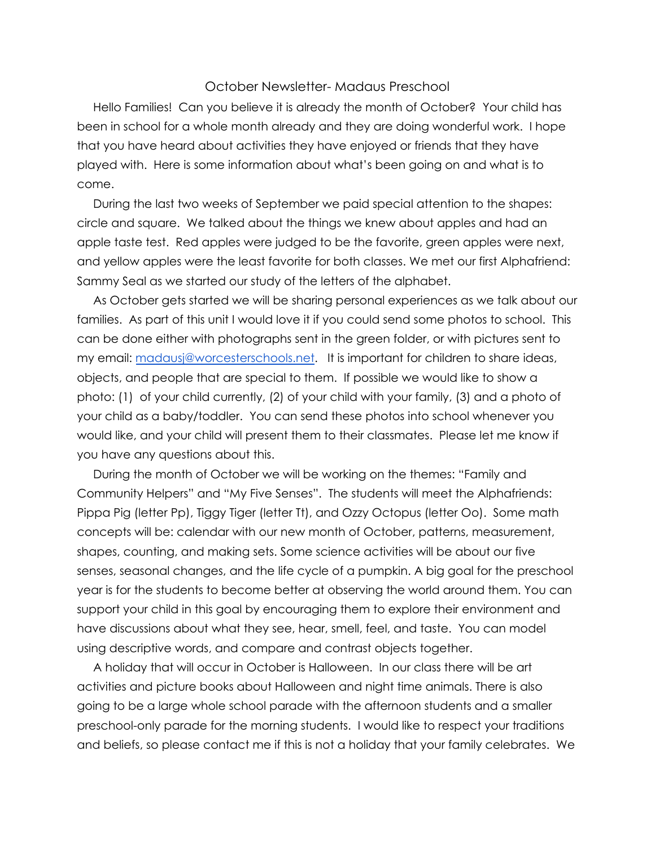## October Newsletter- Madaus Preschool

Hello Families! Can you believe it is already the month of October? Your child has been in school for a whole month already and they are doing wonderful work. I hope that you have heard about activities they have enjoyed or friends that they have played with. Here is some information about what's been going on and what is to come.

During the last two weeks of September we paid special attention to the shapes: circle and square. We talked about the things we knew about apples and had an apple taste test. Red apples were judged to be the favorite, green apples were next, and yellow apples were the least favorite for both classes. We met our first Alphafriend: Sammy Seal as we started our study of the letters of the alphabet.

As October gets started we will be sharing personal experiences as we talk about our families. As part of this unit I would love it if you could send some photos to school. This can be done either with photographs sent in the green folder, or with pictures sent to my email: [madausj@worcesterschools.net](mailto:madausj@worcesterschools.net). It is important for children to share ideas, objects, and people that are special to them. If possible we would like to show a photo: (1) of your child currently, (2) of your child with your family, (3) and a photo of your child as a baby/toddler. You can send these photos into school whenever you would like, and your child will present them to their classmates. Please let me know if you have any questions about this.

During the month of October we will be working on the themes: "Family and Community Helpers" and "My Five Senses". The students will meet the Alphafriends: Pippa Pig (letter Pp), Tiggy Tiger (letter Tt), and Ozzy Octopus (letter Oo). Some math concepts will be: calendar with our new month of October, patterns, measurement, shapes, counting, and making sets. Some science activities will be about our five senses, seasonal changes, and the life cycle of a pumpkin. A big goal for the preschool year is for the students to become better at observing the world around them. You can support your child in this goal by encouraging them to explore their environment and have discussions about what they see, hear, smell, feel, and taste. You can model using descriptive words, and compare and contrast objects together.

A holiday that will occur in October is Halloween. In our class there will be art activities and picture books about Halloween and night time animals. There is also going to be a large whole school parade with the afternoon students and a smaller preschool-only parade for the morning students. I would like to respect your traditions and beliefs, so please contact me if this is not a holiday that your family celebrates. We